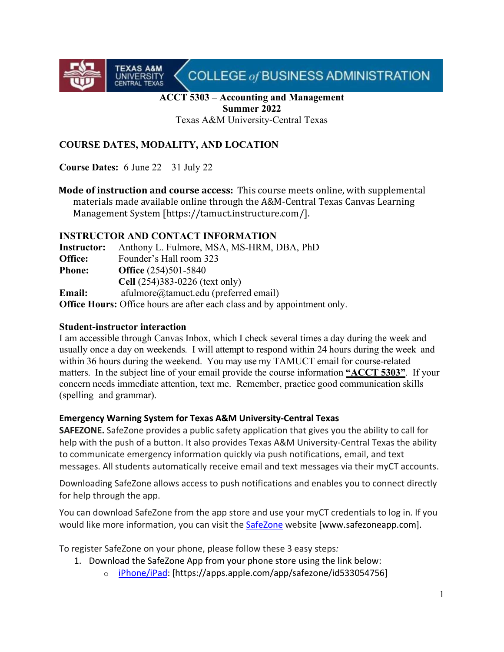

## **ACCT 5303 – Accounting and Management Summer 2022**

Texas A&M University-Central Texas

## **COURSE DATES, MODALITY, AND LOCATION**

**Course Dates:** 6 June 22 – 31 July 22

**TEXAS A&M**<br>UNIVERSITY<br>CENTRAL TEXAS

**Mode of instruction and course access:** This course meets online, with supplemental materials made available online through the A&M-Central Texas Canvas Learning Management System [https://tamuct.instructure.com/].

#### **INSTRUCTOR AND CONTACT INFORMATION**

| Instructor:   | Anthony L. Fulmore, MSA, MS-HRM, DBA, PhD                                       |
|---------------|---------------------------------------------------------------------------------|
| Office:       | Founder's Hall room 323                                                         |
| <b>Phone:</b> | <b>Office</b> (254)501-5840                                                     |
|               | Cell (254)383-0226 (text only)                                                  |
| <b>Email:</b> | afulmore@tamuct.edu (preferred email)                                           |
|               | <b>Office Hours:</b> Office hours are after each class and by appointment only. |

#### **Student-instructor interaction**

I am accessible through Canvas Inbox, which I check several times a day during the week and usually once a day on weekends. I will attempt to respond within 24 hours during the week and within 36 hours during the weekend. You may use my TAMUCT email for course-related matters. In the subject line of your email provide the course information **"ACCT 5303"**. If your concern needs immediate attention, text me. Remember, practice good communication skills (spelling and grammar).

#### **Emergency Warning System for Texas A&M University-Central Texas**

**SAFEZONE.** SafeZone provides a public safety application that gives you the ability to call for help with the push of a button. It also provides Texas A&M University-Central Texas the ability to communicate emergency information quickly via push notifications, email, and text messages. All students automatically receive email and text messages via their myCT accounts.

Downloading SafeZone allows access to push notifications and enables you to connect directly for help through the app.

You can download SafeZone from the app store and use your myCT credentials to log in. If you would like more information, you can visit the **[SafeZone](http://www.safezoneapp.com/)** website [www.safezoneapp.com].

To register SafeZone on your phone, please follow these 3 easy steps*:* 

- 1. Download the SafeZone App from your phone store using the link below:
	- o [iPhone/iPad:](https://apps.apple.com/app/safezone/id533054756) [https://apps.apple.com/app/safezone/id533054756]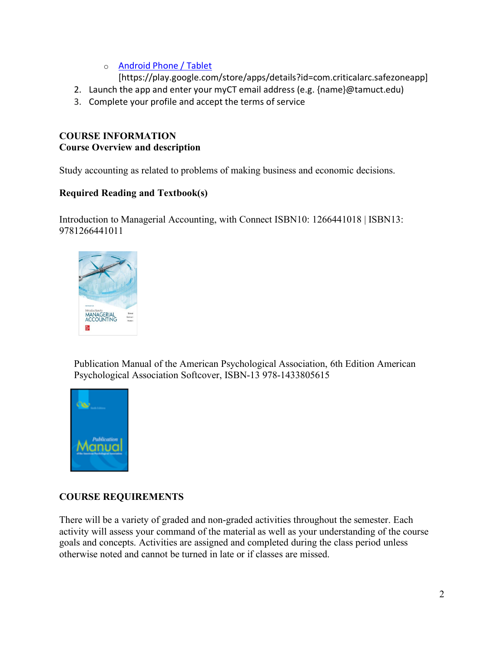o [Android Phone / Tablet](https://play.google.com/store/apps/details?id=com.criticalarc.safezoneapp)

[https://play.google.com/store/apps/details?id=com.criticalarc.safezoneapp]

- 2. Launch the app and enter your myCT email address (e.g. {name}@tamuct.edu)
- 3. Complete your profile and accept the terms of service

## **COURSE INFORMATION Course Overview and description**

Study accounting as related to problems of making business and economic decisions.

## **Required Reading and Textbook(s)**

Introduction to Managerial Accounting, with Connect ISBN10: 1266441018 | ISBN13: 9781266441011



Publication Manual of the American Psychological Association, 6th Edition American Psychological Association Softcover, ISBN-13 978-1433805615



# **COURSE REQUIREMENTS**

There will be a variety of graded and non-graded activities throughout the semester. Each activity will assess your command of the material as well as your understanding of the course goals and concepts. Activities are assigned and completed during the class period unless otherwise noted and cannot be turned in late or if classes are missed.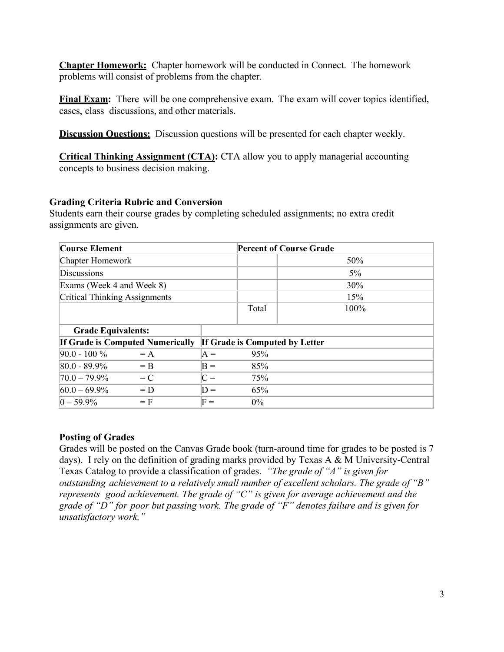**Chapter Homework:** Chapter homework will be conducted in Connect. The homework problems will consist of problems from the chapter.

**Final Exam:** There will be one comprehensive exam. The exam will cover topics identified, cases, class discussions, and other materials.

**Discussion Questions:** Discussion questions will be presented for each chapter weekly.

**Critical Thinking Assignment (CTA):** CTA allow you to apply managerial accounting concepts to business decision making.

#### **Grading Criteria Rubric and Conversion**

Students earn their course grades by completing scheduled assignments; no extra credit assignments are given.

| <b>Course Element</b>                   |       |                                | <b>Percent of Course Grade</b> |       |  |
|-----------------------------------------|-------|--------------------------------|--------------------------------|-------|--|
| Chapter Homework                        |       |                                |                                | 50%   |  |
| <b>Discussions</b>                      |       |                                |                                | $5\%$ |  |
| Exams (Week 4 and Week 8)               |       |                                |                                | 30%   |  |
| <b>Critical Thinking Assignments</b>    |       |                                | 15%                            |       |  |
|                                         |       |                                | Total                          | 100%  |  |
| <b>Grade Equivalents:</b>               |       |                                |                                |       |  |
| <b>If Grade is Computed Numerically</b> |       | If Grade is Computed by Letter |                                |       |  |
| $90.0 - 100 \%$                         | $= A$ | $A =$                          | 95%                            |       |  |
| 80.0 - 89.9%                            | $=$ B | $B =$                          | 85%                            |       |  |
| $70.0 - 79.9\%$                         | $= C$ | $C =$                          | 75%                            |       |  |
| $60.0 - 69.9\%$                         | $= D$ | $D =$                          | 65%                            |       |  |
| $0 - 59.9\%$                            | $=$ F | $\mathrm{F} =$                 | $0\%$                          |       |  |

#### **Posting of Grades**

Grades will be posted on the Canvas Grade book (turn-around time for grades to be posted is 7 days). I rely on the definition of grading marks provided by Texas A & M University-Central Texas Catalog to provide a classification of grades. *"The grade of "A" is given for outstanding achievement to a relatively small number of excellent scholars. The grade of "B" represents good achievement. The grade of "C" is given for average achievement and the grade of "D" for poor but passing work. The grade of "F" denotes failure and is given for unsatisfactory work."*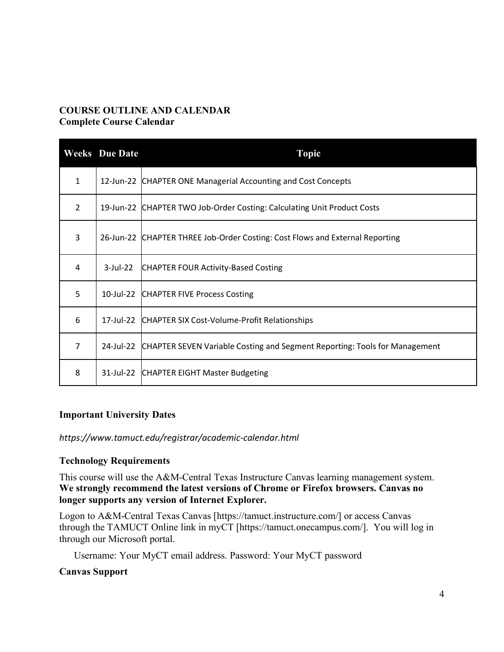## **COURSE OUTLINE AND CALENDAR Complete Course Calendar**

|                | <b>Weeks</b> Due Date | <b>Topic</b>                                                                 |
|----------------|-----------------------|------------------------------------------------------------------------------|
| $\mathbf{1}$   | 12-Jun-22             | CHAPTER ONE Managerial Accounting and Cost Concepts                          |
| $\overline{2}$ |                       | 19-Jun-22 CHAPTER TWO Job-Order Costing: Calculating Unit Product Costs      |
| 3              |                       | 26-Jun-22 CHAPTER THREE Job-Order Costing: Cost Flows and External Reporting |
| 4              | $3$ -Jul-22           | CHAPTER FOUR Activity-Based Costing                                          |
| 5              | 10-Jul-22             | <b>CHAPTER FIVE Process Costing</b>                                          |
| 6              | 17-Jul-22             | CHAPTER SIX Cost-Volume-Profit Relationships                                 |
| $\overline{7}$ | 24-Jul-22             | CHAPTER SEVEN Variable Costing and Segment Reporting: Tools for Management   |
| 8              | 31-Jul-22             | <b>CHAPTER EIGHT Master Budgeting</b>                                        |

## **Important University Dates**

*https://www.tamuct.edu/registrar/academic-calendar.html*

## **Technology Requirements**

This course will use the A&M-Central Texas Instructure Canvas learning management system. **We strongly recommend the latest versions of Chrome or Firefox browsers. Canvas no longer supports any version of Internet Explorer.**

Logon to A&M-Central Texas Canvas [https://tamuct.instructure.com/] or access Canvas through the TAMUCT Online link in myCT [https://tamuct.onecampus.com/]. You will log in through our Microsoft portal.

Username: Your MyCT email address. Password: Your MyCT password

#### **Canvas Support**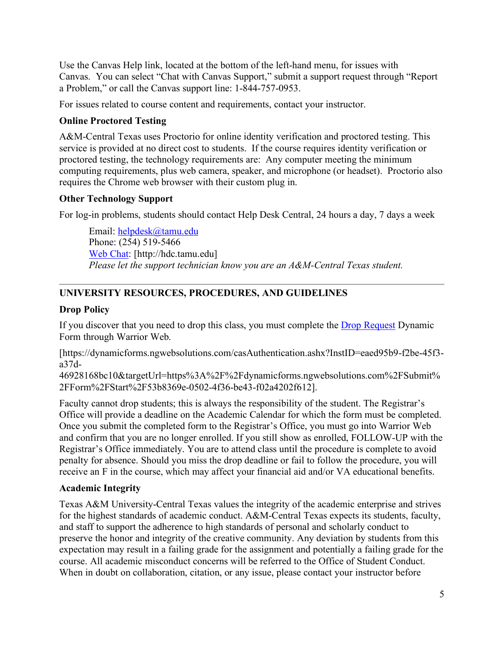Use the Canvas Help link, located at the bottom of the left-hand menu, for issues with Canvas. You can select "Chat with Canvas Support," submit a support request through "Report a Problem," or call the Canvas support line: 1-844-757-0953.

For issues related to course content and requirements, contact your instructor.

## **Online Proctored Testing**

A&M-Central Texas uses Proctorio for online identity verification and proctored testing. This service is provided at no direct cost to students. If the course requires identity verification or proctored testing, the technology requirements are: Any computer meeting the minimum computing requirements, plus web camera, speaker, and microphone (or headset). Proctorio also requires the Chrome web browser with their custom plug in.

## **Other Technology Support**

For log-in problems, students should contact Help Desk Central, 24 hours a day, 7 days a week

Email: [helpdesk@tamu.edu](mailto:helpdesk@tamu.edu) Phone: (254) 519-5466 [Web Chat:](http://hdc.tamu.edu/) [http://hdc.tamu.edu] *Please let the support technician know you are an A&M-Central Texas student.* 

# **UNIVERSITY RESOURCES, PROCEDURES, AND GUIDELINES**

## **Drop Policy**

If you discover that you need to drop this class, you must complete the **Drop Request Dynamic** Form through Warrior Web.

[https://dynamicforms.ngwebsolutions.com/casAuthentication.ashx?InstID=eaed95b9-f2be-45f3 a37d-

46928168bc10&targetUrl=https%3A%2F%2Fdynamicforms.ngwebsolutions.com%2FSubmit% 2FForm%2FStart%2F53b8369e-0502-4f36-be43-f02a4202f612].

Faculty cannot drop students; this is always the responsibility of the student. The Registrar's Office will provide a deadline on the Academic Calendar for which the form must be completed. Once you submit the completed form to the Registrar's Office, you must go into Warrior Web and confirm that you are no longer enrolled. If you still show as enrolled, FOLLOW-UP with the Registrar's Office immediately. You are to attend class until the procedure is complete to avoid penalty for absence. Should you miss the drop deadline or fail to follow the procedure, you will receive an F in the course, which may affect your financial aid and/or VA educational benefits.

## **Academic Integrity**

Texas A&M University-Central Texas values the integrity of the academic enterprise and strives for the highest standards of academic conduct. A&M-Central Texas expects its students, faculty, and staff to support the adherence to high standards of personal and scholarly conduct to preserve the honor and integrity of the creative community. Any deviation by students from this expectation may result in a failing grade for the assignment and potentially a failing grade for the course. All academic misconduct concerns will be referred to the Office of Student Conduct. When in doubt on collaboration, citation, or any issue, please contact your instructor before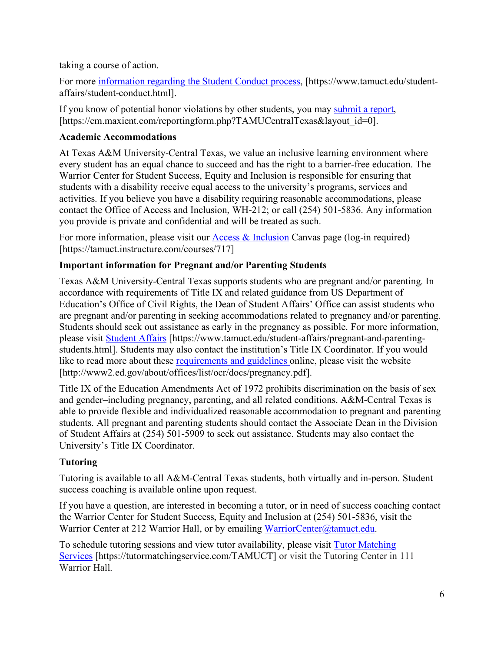taking a course of action.

For more [information regarding the Student Conduct process,](https://nam04.safelinks.protection.outlook.com/?url=https%3A%2F%2Fwww.tamuct.edu%2Fstudent-affairs%2Fstudent-conduct.html&data=04%7C01%7Clisa.bunkowski%40tamuct.edu%7Ccfb6e486f24745f53e1a08d910055cb2%7C9eed4e3000f744849ff193ad8005acec%7C0%7C0%7C637558437485252160%7CUnknown%7CTWFpbGZsb3d8eyJWIjoiMC4wLjAwMDAiLCJQIjoiV2luMzIiLCJBTiI6Ik1haWwiLCJXVCI6Mn0%3D%7C1000&sdata=yjftDEVHvLX%2FhM%2FcFU0B99krV1RgEWR%2BJ%2BhvtoR6TYk%3D&reserved=0) [https://www.tamuct.edu/studentaffairs/student-conduct.html].

If you know of potential honor violations by other students, you may [submit a report,](https://nam04.safelinks.protection.outlook.com/?url=https%3A%2F%2Fcm.maxient.com%2Freportingform.php%3FTAMUCentralTexas%26layout_id%3D0&data=04%7C01%7Clisa.bunkowski%40tamuct.edu%7Ccfb6e486f24745f53e1a08d910055cb2%7C9eed4e3000f744849ff193ad8005acec%7C0%7C0%7C637558437485262157%7CUnknown%7CTWFpbGZsb3d8eyJWIjoiMC4wLjAwMDAiLCJQIjoiV2luMzIiLCJBTiI6Ik1haWwiLCJXVCI6Mn0%3D%7C1000&sdata=CXGkOa6uPDPX1IMZ87z3aZDq2n91xfHKu4MMS43Ejjk%3D&reserved=0) [https://cm.maxient.com/reportingform.php?TAMUCentralTexas&layout\_id=0].

## **Academic Accommodations**

At Texas A&M University-Central Texas, we value an inclusive learning environment where every student has an equal chance to succeed and has the right to a barrier-free education. The Warrior Center for Student Success, Equity and Inclusion is responsible for ensuring that students with a disability receive equal access to the university's programs, services and activities. If you believe you have a disability requiring reasonable accommodations, please contact the Office of Access and Inclusion, WH-212; or call (254) 501-5836. Any information you provide is private and confidential and will be treated as such.

For more information, please visit our  $\Delta$ ceess  $\&$  Inclusion Canvas page (log-in required) [https://tamuct.instructure.com/courses/717]

# **Important information for Pregnant and/or Parenting Students**

Texas A&M University-Central Texas supports students who are pregnant and/or parenting. In accordance with requirements of Title IX and related guidance from US Department of Education's Office of Civil Rights, the Dean of Student Affairs' Office can assist students who are pregnant and/or parenting in seeking accommodations related to pregnancy and/or parenting. Students should seek out assistance as early in the pregnancy as possible. For more information, please visit [Student Affairs](https://www.tamuct.edu/student-affairs/pregnant-and-parenting-students.html) [https://www.tamuct.edu/student-affairs/pregnant-and-parentingstudents.html]. Students may also contact the institution's Title IX Coordinator. If you would like to read more about these [requirements and guidelines](http://www2.ed.gov/about/offices/list/ocr/docs/pregnancy.pdf) online, please visit the website [http://www2.ed.gov/about/offices/list/ocr/docs/pregnancy.pdf].

Title IX of the Education Amendments Act of 1972 prohibits discrimination on the basis of sex and gender–including pregnancy, parenting, and all related conditions. A&M-Central Texas is able to provide flexible and individualized reasonable accommodation to pregnant and parenting students. All pregnant and parenting students should contact the Associate Dean in the Division of Student Affairs at (254) 501-5909 to seek out assistance. Students may also contact the University's Title IX Coordinator.

# **Tutoring**

Tutoring is available to all A&M-Central Texas students, both virtually and in-person. Student success coaching is available online upon request.

If you have a question, are interested in becoming a tutor, or in need of success coaching contact the Warrior Center for Student Success, Equity and Inclusion at (254) 501-5836, visit the Warrior Center at 212 Warrior Hall, or by emailing [WarriorCenter@tamuct.edu.](mailto:WarriorCenter@tamuct.edu)

To schedule tutoring sessions and view tutor availability, please visit [Tutor Matching](https://tutormatchingservice.com/TAMUCT) [Services](https://tutormatchingservice.com/TAMUCT) [https://tutormatchingservice.com/TAMUCT] or visit the Tutoring Center in 111 Warrior Hall.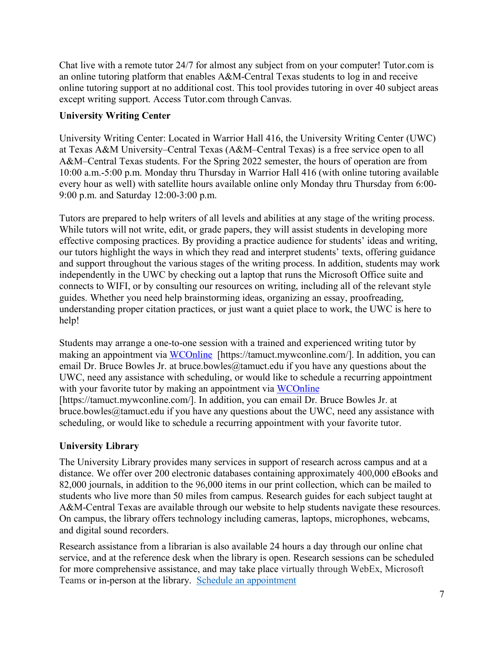Chat live with a remote tutor 24/7 for almost any subject from on your computer! Tutor.com is an online tutoring platform that enables A&M-Central Texas students to log in and receive online tutoring support at no additional cost. This tool provides tutoring in over 40 subject areas except writing support. Access Tutor.com through Canvas.

## **University Writing Center**

University Writing Center: Located in Warrior Hall 416, the University Writing Center (UWC) at Texas A&M University–Central Texas (A&M–Central Texas) is a free service open to all A&M–Central Texas students. For the Spring 2022 semester, the hours of operation are from 10:00 a.m.-5:00 p.m. Monday thru Thursday in Warrior Hall 416 (with online tutoring available every hour as well) with satellite hours available online only Monday thru Thursday from 6:00- 9:00 p.m. and Saturday 12:00-3:00 p.m.

Tutors are prepared to help writers of all levels and abilities at any stage of the writing process. While tutors will not write, edit, or grade papers, they will assist students in developing more effective composing practices. By providing a practice audience for students' ideas and writing, our tutors highlight the ways in which they read and interpret students' texts, offering guidance and support throughout the various stages of the writing process. In addition, students may work independently in the UWC by checking out a laptop that runs the Microsoft Office suite and connects to WIFI, or by consulting our resources on writing, including all of the relevant style guides. Whether you need help brainstorming ideas, organizing an essay, proofreading, understanding proper citation practices, or just want a quiet place to work, the UWC is here to help!

Students may arrange a one-to-one session with a trained and experienced writing tutor by making an appointment via [WCOnline](https://tamuct.mywconline.com/) [https://tamuct.mywconline.com/]. In addition, you can email Dr. Bruce Bowles Jr. at bruce.bowles@tamuct.edu if you have any questions about the UWC, need any assistance with scheduling, or would like to schedule a recurring appointment with your favorite tutor by making an appointment via [WCOnline](https://tamuct.mywconline.com/) [https://tamuct.mywconline.com/]. In addition, you can email Dr. Bruce Bowles Jr. at bruce.bowles@tamuct.edu if you have any questions about the UWC, need any assistance with scheduling, or would like to schedule a recurring appointment with your favorite tutor.

# **University Library**

The University Library provides many services in support of research across campus and at a distance. We offer over 200 electronic databases containing approximately 400,000 eBooks and 82,000 journals, in addition to the 96,000 items in our print collection, which can be mailed to students who live more than 50 miles from campus. Research guides for each subject taught at A&M-Central Texas are available through our website to help students navigate these resources. On campus, the library offers technology including cameras, laptops, microphones, webcams, and digital sound recorders.

Research assistance from a librarian is also available 24 hours a day through our online chat service, and at the reference desk when the library is open. Research sessions can be scheduled for more comprehensive assistance, and may take place virtually through WebEx, Microsoft Teams or in-person at the library. [Schedule an appointment](https://nam04.safelinks.protection.outlook.com/?url=https%3A%2F%2Ftamuct.libcal.com%2Fappointments%2F%3Fg%3D6956&data=04%7C01%7Clisa.bunkowski%40tamuct.edu%7Cde2c07d9f5804f09518008d9ab7ba6ff%7C9eed4e3000f744849ff193ad8005acec%7C0%7C0%7C637729369835011558%7CUnknown%7CTWFpbGZsb3d8eyJWIjoiMC4wLjAwMDAiLCJQIjoiV2luMzIiLCJBTiI6Ik1haWwiLCJXVCI6Mn0%3D%7C3000&sdata=KhtjgRSAw9aq%2FoBsB6wyu8b7PSuGN5EGPypzr3Ty2No%3D&reserved=0)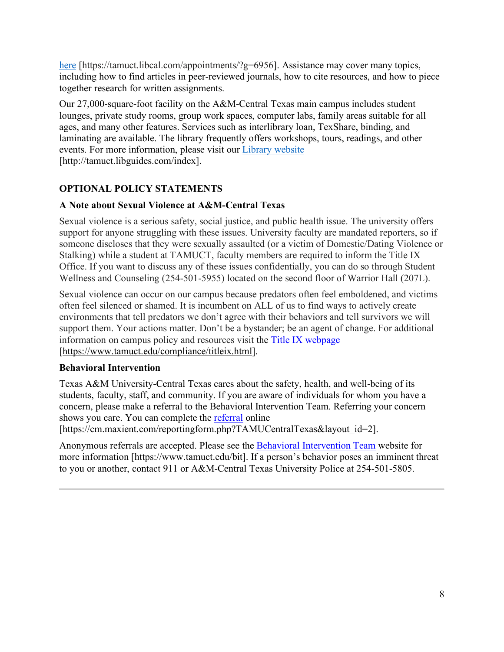[here](https://nam04.safelinks.protection.outlook.com/?url=https%3A%2F%2Ftamuct.libcal.com%2Fappointments%2F%3Fg%3D6956&data=04%7C01%7Clisa.bunkowski%40tamuct.edu%7Cde2c07d9f5804f09518008d9ab7ba6ff%7C9eed4e3000f744849ff193ad8005acec%7C0%7C0%7C637729369835011558%7CUnknown%7CTWFpbGZsb3d8eyJWIjoiMC4wLjAwMDAiLCJQIjoiV2luMzIiLCJBTiI6Ik1haWwiLCJXVCI6Mn0%3D%7C3000&sdata=KhtjgRSAw9aq%2FoBsB6wyu8b7PSuGN5EGPypzr3Ty2No%3D&reserved=0) [https://tamuct.libcal.com/appointments/?g=6956]. Assistance may cover many topics, including how to find articles in peer-reviewed journals, how to cite resources, and how to piece together research for written assignments.

Our 27,000-square-foot facility on the A&M-Central Texas main campus includes student lounges, private study rooms, group work spaces, computer labs, family areas suitable for all ages, and many other features. Services such as interlibrary loan, TexShare, binding, and laminating are available. The library frequently offers workshops, tours, readings, and other events. For more information, please visit our Library [website](https://nam04.safelinks.protection.outlook.com/?url=https%3A%2F%2Ftamuct.libguides.com%2Findex&data=04%7C01%7Clisa.bunkowski%40tamuct.edu%7C7d8489e8839a4915335f08d916f067f2%7C9eed4e3000f744849ff193ad8005acec%7C0%7C0%7C637566044056484222%7CUnknown%7CTWFpbGZsb3d8eyJWIjoiMC4wLjAwMDAiLCJQIjoiV2luMzIiLCJBTiI6Ik1haWwiLCJXVCI6Mn0%3D%7C1000&sdata=2R755V6rcIyedGrd4Os5rkgn1PvhHKU3kUV1vBKiHFo%3D&reserved=0)  [http://tamuct.libguides.com/index].

# **OPTIONAL POLICY STATEMENTS**

## **A Note about Sexual Violence at A&M-Central Texas**

Sexual violence is a serious safety, social justice, and public health issue. The university offers support for anyone struggling with these issues. University faculty are mandated reporters, so if someone discloses that they were sexually assaulted (or a victim of Domestic/Dating Violence or Stalking) while a student at TAMUCT, faculty members are required to inform the Title IX Office. If you want to discuss any of these issues confidentially, you can do so through Student Wellness and Counseling (254-501-5955) located on the second floor of Warrior Hall (207L).

Sexual violence can occur on our campus because predators often feel emboldened, and victims often feel silenced or shamed. It is incumbent on ALL of us to find ways to actively create environments that tell predators we don't agree with their behaviors and tell survivors we will support them. Your actions matter. Don't be a bystander; be an agent of change. For additional information on campus policy and resources visit the [Title IX webpage](https://www.tamuct.edu/compliance/titleix.html) [\[https://www.tamuct.edu/compliance/titleix.html\]](https://www.tamuct.edu/compliance/titleix.html).

## **Behavioral Intervention**

Texas A&M University-Central Texas cares about the safety, health, and well-being of its students, faculty, staff, and community. If you are aware of individuals for whom you have a concern, please make a referral to the Behavioral Intervention Team. Referring your concern shows you care. You can complete the [referral](https://cm.maxient.com/reportingform.php?TAMUCentralTexas&layout_id=2) online

[https://cm.maxient.com/reportingform.php?TAMUCentralTexas&layout\_id=2].

Anonymous referrals are accepted. Please see the [Behavioral Intervention Team](https://www.tamuct.edu/bit) website for more information [https://www.tamuct.edu/bit]. If a person's behavior poses an imminent threat to you or another, contact 911 or A&M-Central Texas University Police at 254-501-5805.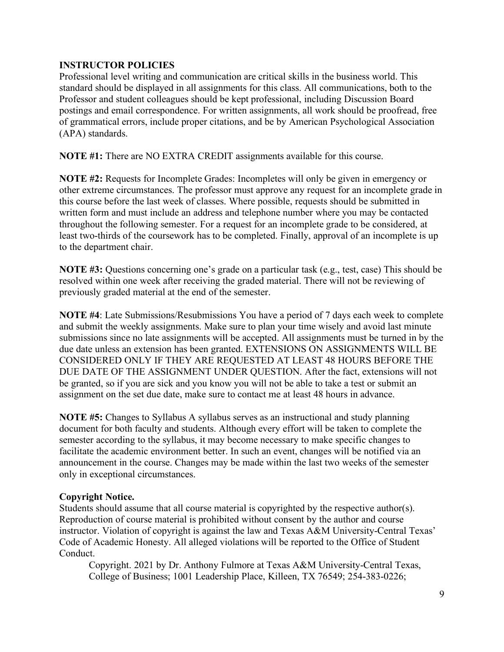## **INSTRUCTOR POLICIES**

Professional level writing and communication are critical skills in the business world. This standard should be displayed in all assignments for this class. All communications, both to the Professor and student colleagues should be kept professional, including Discussion Board postings and email correspondence. For written assignments, all work should be proofread, free of grammatical errors, include proper citations, and be by American Psychological Association (APA) standards.

**NOTE #1:** There are NO EXTRA CREDIT assignments available for this course.

**NOTE #2:** Requests for Incomplete Grades: Incompletes will only be given in emergency or other extreme circumstances. The professor must approve any request for an incomplete grade in this course before the last week of classes. Where possible, requests should be submitted in written form and must include an address and telephone number where you may be contacted throughout the following semester. For a request for an incomplete grade to be considered, at least two-thirds of the coursework has to be completed. Finally, approval of an incomplete is up to the department chair.

**NOTE #3:** Questions concerning one's grade on a particular task (e.g., test, case) This should be resolved within one week after receiving the graded material. There will not be reviewing of previously graded material at the end of the semester.

**NOTE #4**: Late Submissions/Resubmissions You have a period of 7 days each week to complete and submit the weekly assignments. Make sure to plan your time wisely and avoid last minute submissions since no late assignments will be accepted. All assignments must be turned in by the due date unless an extension has been granted. EXTENSIONS ON ASSIGNMENTS WILL BE CONSIDERED ONLY IF THEY ARE REQUESTED AT LEAST 48 HOURS BEFORE THE DUE DATE OF THE ASSIGNMENT UNDER QUESTION. After the fact, extensions will not be granted, so if you are sick and you know you will not be able to take a test or submit an assignment on the set due date, make sure to contact me at least 48 hours in advance.

**NOTE #5:** Changes to Syllabus A syllabus serves as an instructional and study planning document for both faculty and students. Although every effort will be taken to complete the semester according to the syllabus, it may become necessary to make specific changes to facilitate the academic environment better. In such an event, changes will be notified via an announcement in the course. Changes may be made within the last two weeks of the semester only in exceptional circumstances.

## **Copyright Notice.**

Students should assume that all course material is copyrighted by the respective author(s). Reproduction of course material is prohibited without consent by the author and course instructor. Violation of copyright is against the law and Texas A&M University-Central Texas' Code of Academic Honesty. All alleged violations will be reported to the Office of Student Conduct.

Copyright. 2021 by Dr. Anthony Fulmore at Texas A&M University-Central Texas, College of Business; 1001 Leadership Place, Killeen, TX 76549; 254-383-0226;